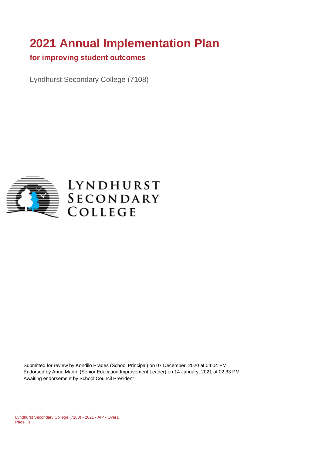# **2021 Annual Implementation Plan**

#### **for improving student outcomes**

Lyndhurst Secondary College (7108)



# **LYNDHURST** SECONDARY COLLEGE

Submitted for review by Kondilo Prades (School Principal) on 07 December, 2020 at 04:04 PM Endorsed by Anne Martin (Senior Education Improvement Leader) on 14 January, 2021 at 02:33 PM Awaiting endorsement by School Council President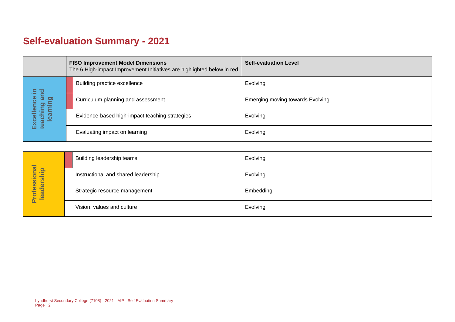# **Self-evaluation Summary - 2021**

| <b>FISO Improvement Model Dimensions</b><br>The 6 High-impact Improvement Initiatives are highlighted below in red. |                                       |  | <b>Self-evaluation Level</b>                   |                                  |
|---------------------------------------------------------------------------------------------------------------------|---------------------------------------|--|------------------------------------------------|----------------------------------|
|                                                                                                                     | 등 질                                   |  | Building practice excellence                   | Evolving                         |
|                                                                                                                     | ă<br>lence                            |  | Curriculum planning and assessment             | Emerging moving towards Evolving |
|                                                                                                                     | Excellence<br>teaching ar<br>learning |  | Evidence-based high-impact teaching strategies | Evolving                         |
|                                                                                                                     |                                       |  | Evaluating impact on learning                  | Evolving                         |

|                            | Building leadership teams           | Evolving  |
|----------------------------|-------------------------------------|-----------|
| Professional<br>leadership | Instructional and shared leadership | Evolving  |
|                            | Strategic resource management       | Embedding |
|                            | Vision, values and culture          | Evolving  |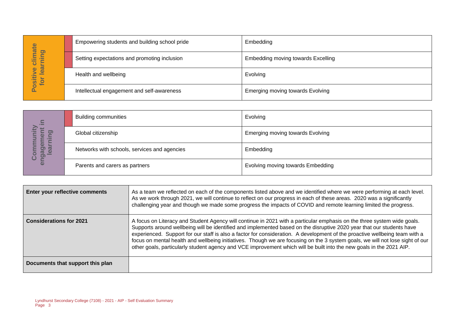| hate                               | Empowering students and building school pride | Embedding                               |
|------------------------------------|-----------------------------------------------|-----------------------------------------|
| <b>la</b><br>⋍<br>≐<br>느<br>►<br>ပ | Setting expectations and promoting inclusion  | Embedding moving towards Excelling      |
| lear<br>Φ<br>ositiv<br>for         | Health and wellbeing                          | Evolving                                |
|                                    | Intellectual engagement and self-awareness    | <b>Emerging moving towards Evolving</b> |

| $\equiv$                           | <b>Building communities</b>                  | Evolving                                |
|------------------------------------|----------------------------------------------|-----------------------------------------|
| $\mathbf{S}$<br>o)                 | Global citizenship                           | <b>Emerging moving towards Evolving</b> |
| $\mathbf{\Omega}$<br><u>യ</u><br>ٽ | Networks with schools, services and agencies | Embedding                               |
| eng                                | Parents and carers as partners               | Evolving moving towards Embedding       |

|                                  | Empowering students and building school pride                             |                                                                                                                                                                                                                                                                                                                                                                      | <b>EINDEQUING</b>                                                                                                                                                                                                                                                                                                                                                                                                                                                                                                                                                                                                                        |  |
|----------------------------------|---------------------------------------------------------------------------|----------------------------------------------------------------------------------------------------------------------------------------------------------------------------------------------------------------------------------------------------------------------------------------------------------------------------------------------------------------------|------------------------------------------------------------------------------------------------------------------------------------------------------------------------------------------------------------------------------------------------------------------------------------------------------------------------------------------------------------------------------------------------------------------------------------------------------------------------------------------------------------------------------------------------------------------------------------------------------------------------------------------|--|
| Positive climate<br>for learning |                                                                           | Setting expectations and promoting inclusion                                                                                                                                                                                                                                                                                                                         | <b>Embedding moving towards Excelling</b>                                                                                                                                                                                                                                                                                                                                                                                                                                                                                                                                                                                                |  |
|                                  | Health and wellbeing                                                      |                                                                                                                                                                                                                                                                                                                                                                      | Evolving                                                                                                                                                                                                                                                                                                                                                                                                                                                                                                                                                                                                                                 |  |
|                                  |                                                                           | Intellectual engagement and self-awareness                                                                                                                                                                                                                                                                                                                           | Emerging moving towards Evolving                                                                                                                                                                                                                                                                                                                                                                                                                                                                                                                                                                                                         |  |
|                                  |                                                                           |                                                                                                                                                                                                                                                                                                                                                                      |                                                                                                                                                                                                                                                                                                                                                                                                                                                                                                                                                                                                                                          |  |
|                                  | <b>Building communities</b>                                               |                                                                                                                                                                                                                                                                                                                                                                      | Evolving                                                                                                                                                                                                                                                                                                                                                                                                                                                                                                                                                                                                                                 |  |
| learning                         | Global citizenship                                                        |                                                                                                                                                                                                                                                                                                                                                                      | <b>Emerging moving towards Evolving</b>                                                                                                                                                                                                                                                                                                                                                                                                                                                                                                                                                                                                  |  |
| engagement in<br>Community       | Networks with schools, services and agencies                              |                                                                                                                                                                                                                                                                                                                                                                      | Embedding                                                                                                                                                                                                                                                                                                                                                                                                                                                                                                                                                                                                                                |  |
|                                  | Parents and carers as partners                                            |                                                                                                                                                                                                                                                                                                                                                                      | Evolving moving towards Embedding                                                                                                                                                                                                                                                                                                                                                                                                                                                                                                                                                                                                        |  |
|                                  |                                                                           |                                                                                                                                                                                                                                                                                                                                                                      |                                                                                                                                                                                                                                                                                                                                                                                                                                                                                                                                                                                                                                          |  |
|                                  | Enter your reflective comments                                            | As a team we reflected on each of the components listed above and we identified where we were performing at each level.<br>As we work through 2021, we will continue to reflect on our progress in each of these areas. 2020 was a significantly<br>challenging year and though we made some progress the impacts of COVID and remote learning limited the progress. |                                                                                                                                                                                                                                                                                                                                                                                                                                                                                                                                                                                                                                          |  |
| <b>Considerations for 2021</b>   |                                                                           |                                                                                                                                                                                                                                                                                                                                                                      | A focus on Literacy and Student Agency will continue in 2021 with a particular emphasis on the three system wide goals.<br>Supports around wellbeing will be identified and implemented based on the disruptive 2020 year that our students have<br>experienced. Support for our staff is also a factor for consideration. A development of the proactive wellbeing team with a<br>focus on mental health and wellbeing initiatives. Though we are focusing on the 3 system goals, we will not lose sight of our<br>other goals, particularly student agency and VCE improvement which will be built into the new goals in the 2021 AIP. |  |
| Documents that support this plan |                                                                           |                                                                                                                                                                                                                                                                                                                                                                      |                                                                                                                                                                                                                                                                                                                                                                                                                                                                                                                                                                                                                                          |  |
|                                  |                                                                           |                                                                                                                                                                                                                                                                                                                                                                      |                                                                                                                                                                                                                                                                                                                                                                                                                                                                                                                                                                                                                                          |  |
| Page 3                           | Lyndhurst Secondary College (7108) - 2021 - AIP - Self Evaluation Summary |                                                                                                                                                                                                                                                                                                                                                                      |                                                                                                                                                                                                                                                                                                                                                                                                                                                                                                                                                                                                                                          |  |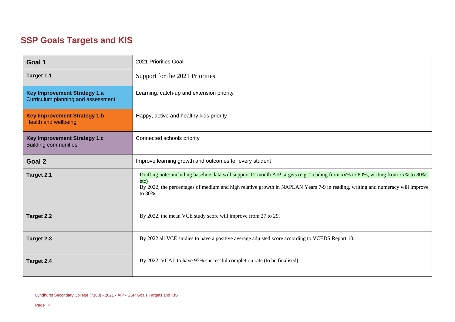## **SSP Goals Targets and KIS**

| Goal 1                                                                    | 2021 Priorities Goal                                                                                                                                                                                                                                                                  |
|---------------------------------------------------------------------------|---------------------------------------------------------------------------------------------------------------------------------------------------------------------------------------------------------------------------------------------------------------------------------------|
| Target 1.1                                                                | Support for the 2021 Priorities                                                                                                                                                                                                                                                       |
| <b>Key Improvement Strategy 1.a</b><br>Curriculum planning and assessment | Learning, catch-up and extension priority                                                                                                                                                                                                                                             |
| <b>Key Improvement Strategy 1.b</b><br><b>Health and wellbeing</b>        | Happy, active and healthy kids priority                                                                                                                                                                                                                                               |
| Key Improvement Strategy 1.c<br><b>Building communities</b>               | Connected schools priority                                                                                                                                                                                                                                                            |
| Goal 2                                                                    | Improve learning growth and outcomes for every student                                                                                                                                                                                                                                |
| Target 2.1                                                                | Drafting note: including baseline data will support 12 month AIP targets (e.g. "reading from xx% to 80%, writing from xx% to 80%"<br>etc)<br>By 2022, the percentages of medium and high relative growth in NAPLAN Years 7-9 in reading, writing and numeracy will improve<br>to 80%. |
| Target 2.2                                                                | By 2022, the mean VCE study score will improve from 27 to 29.                                                                                                                                                                                                                         |
| Target 2.3                                                                | By 2022 all VCE studies to have a positive average adjusted score according to VCEDS Report 10.                                                                                                                                                                                       |
| Target 2.4                                                                | By 2022, VCAL to have 95% successful completion rate (to be finalised).                                                                                                                                                                                                               |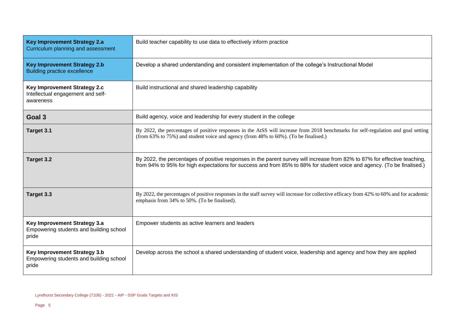| <b>Key Improvement Strategy 2.a</b><br>Curriculum planning and assessment        | Build teacher capability to use data to effectively inform practice                                                                                                                                                                                 |
|----------------------------------------------------------------------------------|-----------------------------------------------------------------------------------------------------------------------------------------------------------------------------------------------------------------------------------------------------|
| <b>Key Improvement Strategy 2.b</b><br><b>Building practice excellence</b>       | Develop a shared understanding and consistent implementation of the college's Instructional Model                                                                                                                                                   |
| Key Improvement Strategy 2.c<br>Intellectual engagement and self-<br>awareness   | Build instructional and shared leadership capability                                                                                                                                                                                                |
| Goal 3                                                                           | Build agency, voice and leadership for every student in the college                                                                                                                                                                                 |
| Target 3.1                                                                       | By 2022, the percentages of positive responses in the AtSS will increase from 2018 benchmarks for self-regulation and goal setting<br>(from 63% to 75%) and student voice and agency (from 48% to 60%). (To be finalised.)                          |
| Target 3.2                                                                       | By 2022, the percentages of positive responses in the parent survey will increase from 82% to 87% for effective teaching,<br>from 94% to 95% for high expectations for success and from 85% to 88% for student voice and agency. (To be finalised.) |
| Target 3.3                                                                       | By 2022, the percentages of positive responses in the staff survey will increase for collective efficacy from 42% to 60% and for academic<br>emphasis from 34% to 50%. (To be finalised).                                                           |
| Key Improvement Strategy 3.a<br>Empowering students and building school<br>pride | Empower students as active learners and leaders                                                                                                                                                                                                     |
| Key Improvement Strategy 3.b<br>Empowering students and building school<br>pride | Develop across the school a shared understanding of student voice, leadership and agency and how they are applied                                                                                                                                   |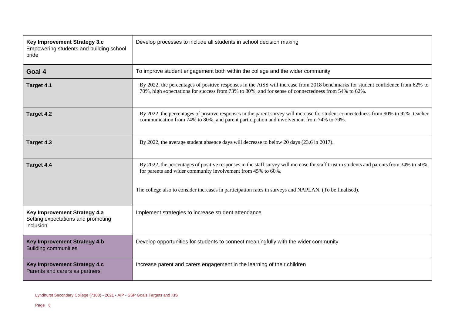| Key Improvement Strategy 3.c<br>Empowering students and building school<br>pride | Develop processes to include all students in school decision making                                                                                                                                                                     |
|----------------------------------------------------------------------------------|-----------------------------------------------------------------------------------------------------------------------------------------------------------------------------------------------------------------------------------------|
| Goal 4                                                                           | To improve student engagement both within the college and the wider community                                                                                                                                                           |
| Target 4.1                                                                       | By 2022, the percentages of positive responses in the AtSS will increase from 2018 benchmarks for student confidence from 62% to<br>70%, high expectations for success from 73% to 80%, and for sense of connectedness from 54% to 62%. |
| Target 4.2                                                                       | By 2022, the percentages of positive responses in the parent survey will increase for student connectedness from 90% to 92%, teacher<br>communication from 74% to 80%, and parent participation and involvement from 74% to 79%.        |
| Target 4.3                                                                       | By 2022, the average student absence days will decrease to below 20 days (23.6 in 2017).                                                                                                                                                |
| Target 4.4                                                                       | By 2022, the percentages of positive responses in the staff survey will increase for staff trust in students and parents from 34% to 50%,<br>for parents and wider community involvement from 45% to 60%.                               |
|                                                                                  | The college also to consider increases in participation rates in surveys and NAPLAN. (To be finalised).                                                                                                                                 |
| Key Improvement Strategy 4.a<br>Setting expectations and promoting<br>inclusion  | Implement strategies to increase student attendance                                                                                                                                                                                     |
| Key Improvement Strategy 4.b<br><b>Building communities</b>                      | Develop opportunities for students to connect meaningfully with the wider community                                                                                                                                                     |
| Key Improvement Strategy 4.c<br>Parents and carers as partners                   | Increase parent and carers engagement in the learning of their children                                                                                                                                                                 |

 $\mathbf{r}$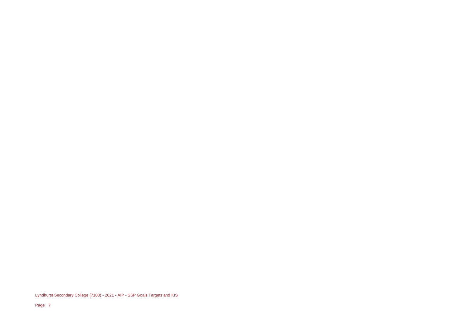Lyndhurst Secondary College (7108) - 2021 - AIP - SSP Goals Targets and KIS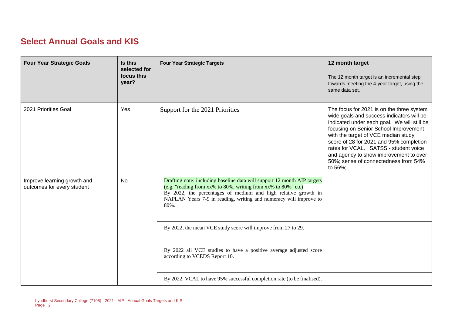### **Select Annual Goals and KIS**

| <b>Four Year Strategic Goals</b>                          | Is this<br>selected for<br>focus this<br>year? | <b>Four Year Strategic Targets</b>                                                                                                                                                                                                                                                       | 12 month target<br>The 12 month target is an incremental step<br>towards meeting the 4-year target, using the<br>same data set.                                                                                                                                                                                                                                                                        |
|-----------------------------------------------------------|------------------------------------------------|------------------------------------------------------------------------------------------------------------------------------------------------------------------------------------------------------------------------------------------------------------------------------------------|--------------------------------------------------------------------------------------------------------------------------------------------------------------------------------------------------------------------------------------------------------------------------------------------------------------------------------------------------------------------------------------------------------|
| 2021 Priorities Goal                                      | Yes                                            | Support for the 2021 Priorities                                                                                                                                                                                                                                                          | The focus for 2021 is on the three system<br>wide goals and success indicators will be<br>indicated under each goal. We will still be<br>focusing on Senior School Improvement<br>with the target of VCE median study<br>score of 28 for 2021 and 95% completion<br>rates for VCAL. SATSS - student voice<br>and agency to show improvement to over<br>50%; sense of connectedness from 54%<br>to 56%; |
| Improve learning growth and<br>outcomes for every student | No                                             | Drafting note: including baseline data will support 12 month AIP targets<br>(e.g. "reading from xx% to 80%, writing from xx% to 80%" etc)<br>By 2022, the percentages of medium and high relative growth in<br>NAPLAN Years 7-9 in reading, writing and numeracy will improve to<br>80%. |                                                                                                                                                                                                                                                                                                                                                                                                        |
|                                                           |                                                | By 2022, the mean VCE study score will improve from 27 to 29.                                                                                                                                                                                                                            |                                                                                                                                                                                                                                                                                                                                                                                                        |
|                                                           |                                                | By 2022 all VCE studies to have a positive average adjusted score<br>according to VCEDS Report 10.                                                                                                                                                                                       |                                                                                                                                                                                                                                                                                                                                                                                                        |
|                                                           |                                                | By 2022, VCAL to have 95% successful completion rate (to be finalised).                                                                                                                                                                                                                  |                                                                                                                                                                                                                                                                                                                                                                                                        |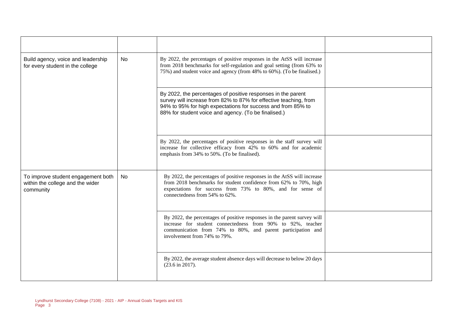| Build agency, voice and leadership<br>for every student in the college              | No | By 2022, the percentages of positive responses in the AtSS will increase<br>from 2018 benchmarks for self-regulation and goal setting (from 63% to<br>75%) and student voice and agency (from 48% to 60%). (To be finalised.)                             |  |
|-------------------------------------------------------------------------------------|----|-----------------------------------------------------------------------------------------------------------------------------------------------------------------------------------------------------------------------------------------------------------|--|
|                                                                                     |    | By 2022, the percentages of positive responses in the parent<br>survey will increase from 82% to 87% for effective teaching, from<br>94% to 95% for high expectations for success and from 85% to<br>88% for student voice and agency. (To be finalised.) |  |
|                                                                                     |    | By 2022, the percentages of positive responses in the staff survey will<br>increase for collective efficacy from 42% to 60% and for academic<br>emphasis from 34% to 50%. (To be finalised).                                                              |  |
| To improve student engagement both<br>within the college and the wider<br>community | No | By 2022, the percentages of positive responses in the AtSS will increase<br>from 2018 benchmarks for student confidence from 62% to 70%, high<br>expectations for success from 73% to 80%, and for sense of<br>connectedness from 54% to 62%.             |  |
|                                                                                     |    | By 2022, the percentages of positive responses in the parent survey will<br>increase for student connectedness from 90% to 92%, teacher<br>communication from 74% to 80%, and parent participation and<br>involvement from 74% to 79%.                    |  |
|                                                                                     |    | By 2022, the average student absence days will decrease to below 20 days<br>$(23.6 \text{ in } 2017).$                                                                                                                                                    |  |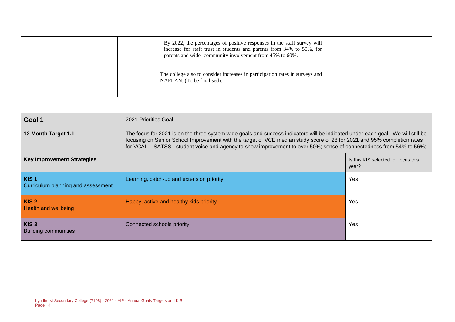| By 2022, the percentages of positive responses in the staff survey will<br>increase for staff trust in students and parents from 34% to 50%, for<br>parents and wider community involvement from 45% to 60%. |  |
|--------------------------------------------------------------------------------------------------------------------------------------------------------------------------------------------------------------|--|
| The college also to consider increases in participation rates in surveys and<br>NAPLAN. (To be finalised).                                                                                                   |  |

| Goal 1                                                 | 2021 Priorities Goal                                                                                                                                                                                                                                                                                                                                                              |                                              |  |
|--------------------------------------------------------|-----------------------------------------------------------------------------------------------------------------------------------------------------------------------------------------------------------------------------------------------------------------------------------------------------------------------------------------------------------------------------------|----------------------------------------------|--|
| 12 Month Target 1.1                                    | The focus for 2021 is on the three system wide goals and success indicators will be indicated under each goal. We will still be<br>focusing on Senior School Improvement with the target of VCE median study score of 28 for 2021 and 95% completion rates<br>for VCAL. SATSS - student voice and agency to show improvement to over 50%; sense of connectedness from 54% to 56%; |                                              |  |
| <b>Key Improvement Strategies</b>                      |                                                                                                                                                                                                                                                                                                                                                                                   | Is this KIS selected for focus this<br>year? |  |
| KIS <sub>1</sub><br>Curriculum planning and assessment | Learning, catch-up and extension priority                                                                                                                                                                                                                                                                                                                                         | <b>Yes</b>                                   |  |
| KIS <sub>2</sub><br><b>Health and wellbeing</b>        | Happy, active and healthy kids priority                                                                                                                                                                                                                                                                                                                                           | Yes                                          |  |
| KIS <sub>3</sub><br><b>Building communities</b>        | Connected schools priority                                                                                                                                                                                                                                                                                                                                                        | Yes                                          |  |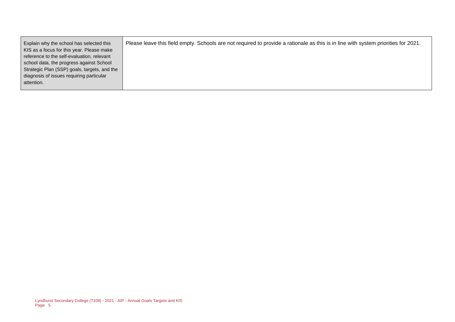| Explain why the school has selected this     | Please leave this field empty. Schools are not required to provide a rationale as this is in line with system priorities for 2021. |
|----------------------------------------------|------------------------------------------------------------------------------------------------------------------------------------|
| KIS as a focus for this year. Please make    |                                                                                                                                    |
| reference to the self-evaluation, relevant   |                                                                                                                                    |
| school data, the progress against School     |                                                                                                                                    |
| Strategic Plan (SSP) goals, targets, and the |                                                                                                                                    |
| diagnosis of issues requiring particular     |                                                                                                                                    |
| attention.                                   |                                                                                                                                    |
|                                              |                                                                                                                                    |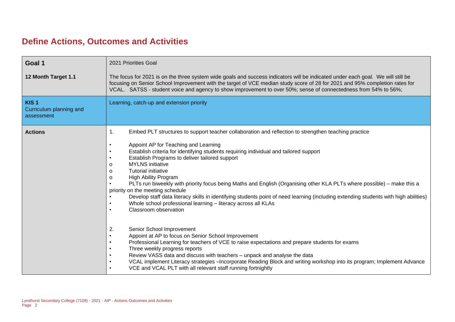## **Define Actions, Outcomes and Activities**

| Goal 1                                                    | 2021 Priorities Goal                                                                                                                                                                                                                                                                                                                                                                                                                                                                                                                                                                                                                                                                                                                                                                                                                                                                                                                                                                                                                                                                                                                                                                                                                                                                                                                                             |
|-----------------------------------------------------------|------------------------------------------------------------------------------------------------------------------------------------------------------------------------------------------------------------------------------------------------------------------------------------------------------------------------------------------------------------------------------------------------------------------------------------------------------------------------------------------------------------------------------------------------------------------------------------------------------------------------------------------------------------------------------------------------------------------------------------------------------------------------------------------------------------------------------------------------------------------------------------------------------------------------------------------------------------------------------------------------------------------------------------------------------------------------------------------------------------------------------------------------------------------------------------------------------------------------------------------------------------------------------------------------------------------------------------------------------------------|
| 12 Month Target 1.1                                       | The focus for 2021 is on the three system wide goals and success indicators will be indicated under each goal. We will still be<br>focusing on Senior School Improvement with the target of VCE median study score of 28 for 2021 and 95% completion rates for<br>VCAL. SATSS - student voice and agency to show improvement to over 50%; sense of connectedness from 54% to 56%;                                                                                                                                                                                                                                                                                                                                                                                                                                                                                                                                                                                                                                                                                                                                                                                                                                                                                                                                                                                |
| KIS <sub>1</sub><br>Curriculum planning and<br>assessment | Learning, catch-up and extension priority                                                                                                                                                                                                                                                                                                                                                                                                                                                                                                                                                                                                                                                                                                                                                                                                                                                                                                                                                                                                                                                                                                                                                                                                                                                                                                                        |
| <b>Actions</b>                                            | Embed PLT structures to support teacher collaboration and reflection to strengthen teaching practice<br>1.<br>Appoint AP for Teaching and Learning<br>$\bullet$<br>Establish criteria for identifying students requiring individual and tailored support<br>Establish Programs to deliver tailored support<br><b>MYLNS</b> initiative<br>$\Omega$<br>Tutorial initiative<br>$\Omega$<br>High Ability Program<br>$\Omega$<br>PLTs run biweekly with priority focus being Maths and English (Organising other KLA PLTs where possible) – make this a<br>priority on the meeting schedule<br>Develop staff data literacy skills in identifying students point of need learning (including extending students with high abilities)<br>Whole school professional learning - literacy across all KLAs<br>Classroom observation<br>2.<br>Senior School Improvement<br>Appoint at AP to focus on Senior School Improvement<br>$\bullet$<br>Professional Learning for teachers of VCE to raise expectations and prepare students for exams<br>Three weekly progress reports<br>٠<br>Review VASS data and discuss with teachers - unpack and analyse the data<br>٠<br>VCAL implement Literacy strategies - Incorporate Reading Block and writing workshop into its program; Implement Advance<br>$\bullet$<br>VCE and VCAL PLT with all relevant staff running fortnightly |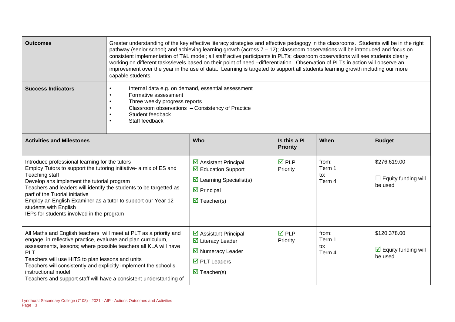| <b>Outcomes</b><br><b>Success Indicators</b>                                                                                                                                                                                                                                                                                                                                                                                      | Greater understanding of the key effective literacy strategies and effective pedagogy in the classrooms. Students will be in the right<br>pathway (senior school) and achieving learning growth (across 7 - 12); classroom observations will be introduced and focus on<br>consistent implementation of T&L model; all staff active participants in PLTs; classroom observations will see students clearly<br>working on different tasks/levels based on their point of need -differentiation. Observation of PLTs in action will observe an<br>improvement over the year in the use of data. Learning is targeted to support all students learning growth including our more<br>capable students.<br>Internal data e.g. on demand, essential assessment<br>Formative assessment<br>Three weekly progress reports<br>Classroom observations - Consistency of Practice<br>Student feedback<br>Staff feedback |                                                                                                                                                                                   |                                |                                  |                                                                        |
|-----------------------------------------------------------------------------------------------------------------------------------------------------------------------------------------------------------------------------------------------------------------------------------------------------------------------------------------------------------------------------------------------------------------------------------|-------------------------------------------------------------------------------------------------------------------------------------------------------------------------------------------------------------------------------------------------------------------------------------------------------------------------------------------------------------------------------------------------------------------------------------------------------------------------------------------------------------------------------------------------------------------------------------------------------------------------------------------------------------------------------------------------------------------------------------------------------------------------------------------------------------------------------------------------------------------------------------------------------------|-----------------------------------------------------------------------------------------------------------------------------------------------------------------------------------|--------------------------------|----------------------------------|------------------------------------------------------------------------|
| <b>Activities and Milestones</b>                                                                                                                                                                                                                                                                                                                                                                                                  | Who<br>Is this a PL<br>When<br><b>Budget</b><br><b>Priority</b>                                                                                                                                                                                                                                                                                                                                                                                                                                                                                                                                                                                                                                                                                                                                                                                                                                             |                                                                                                                                                                                   |                                |                                  |                                                                        |
| Introduce professional learning for the tutors<br>Employ Tutors to support the tutoring initiative- a mix of ES and<br>Teaching staff<br>Develop ans implement the tutorial program<br>Teachers and leaders will identify the students to be targetted as<br>parf of the Tuorial initiative<br>Employ an English Examiner as a tutor to support our Year 12<br>students with English<br>IEPs for students involved in the program |                                                                                                                                                                                                                                                                                                                                                                                                                                                                                                                                                                                                                                                                                                                                                                                                                                                                                                             | ☑ Assistant Principal<br>$\overline{\mathbf{2}}$ Education Support<br>$\triangleright$ Learning Specialist(s)<br>$\triangleright$ Principal<br>$\overline{\mathbf{M}}$ Teacher(s) | $\overline{M}$ PLP<br>Priority | from:<br>Term 1<br>to:<br>Term 4 | \$276,619.00<br>$\Box$ Equity funding will<br>be used                  |
| All Maths and English teachers will meet at PLT as a priority and<br>engage in reflective practice, evaluate and plan curriculum,<br>assessments, lessons; where possible teachers all KLA will have<br>PLT<br>Teachers will use HITS to plan lessons and units<br>Teachers will consistently and explicitly implement the school's<br>instructional model<br>Teachers and support staff will have a consistent understanding of  |                                                                                                                                                                                                                                                                                                                                                                                                                                                                                                                                                                                                                                                                                                                                                                                                                                                                                                             | ☑ Assistant Principal<br>$\overline{\mathbf{M}}$ Literacy Leader<br>Mumeracy Leader<br>$\overline{\boxtimes}$ PLT Leaders<br>$\overline{\mathbf{M}}$ Teacher(s)                   | $\overline{M}$ PLP<br>Priority | from:<br>Term 1<br>to:<br>Term 4 | \$120,378.00<br>$\overline{\mathbf{M}}$ Equity funding will<br>be used |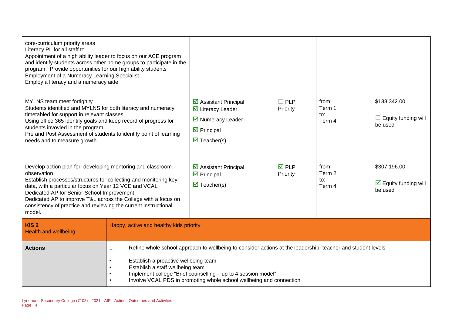| core-curriculum priority areas<br>Literacy PL for all staff to<br>Appointment of a high ability leader to focus on our ACE program<br>and identify students across other home groups to participate in the<br>program. Provide opportunities for our high ability students<br><b>Employment of a Numeracy Learning Specialist</b><br>Employ a literacy and a numeracy aide                          |                                                                                |                                                                                                                                                                                                                                                     |                          |                                  |                                                                 |
|-----------------------------------------------------------------------------------------------------------------------------------------------------------------------------------------------------------------------------------------------------------------------------------------------------------------------------------------------------------------------------------------------------|--------------------------------------------------------------------------------|-----------------------------------------------------------------------------------------------------------------------------------------------------------------------------------------------------------------------------------------------------|--------------------------|----------------------------------|-----------------------------------------------------------------|
| MYLNS team meet fortighlty<br>Students identified and MYLNS for both literacy and numeracy<br>timetabled for support in relevant classes<br>Using office 365 identify goals and keep record of progress for<br>students invovled in the program<br>Pre and Post Assessment of students to identify point of learning<br>needs and to measure growth                                                 |                                                                                | $\triangleright$ Assistant Principal<br>☑ Literacy Leader<br>■ Numeracy Leader<br>$\triangleright$ Principal<br>$\overline{\mathbf{M}}$ Teacher(s)                                                                                                  | $\Box$ PLP<br>Priority   | from:<br>Term 1<br>to:<br>Term 4 | \$138,342.00<br>Equity funding will<br>be used                  |
| Develop action plan for developing mentoring and classroom<br>observation<br>Establish processes/structures for collecting and monitoring key<br>data, with a particular focus on Year 12 VCE and VCAL<br>Dedicated AP for Senior School Improvement<br>Dedicated AP to improve T&L across the College with a focus on<br>consistency of practice and reviewing the current instructional<br>model. |                                                                                | $\triangleright$ Assistant Principal<br>$\triangleright$ Principal<br>$\overline{\mathbf{M}}$ Teacher(s)                                                                                                                                            | <b>☑</b> PLP<br>Priority | from:<br>Term 2<br>to:<br>Term 4 | \$307,196.00<br>$\triangleright$ Equity funding will<br>be used |
| KIS <sub>2</sub><br><b>Health and wellbeing</b>                                                                                                                                                                                                                                                                                                                                                     | Happy, active and healthy kids priority                                        |                                                                                                                                                                                                                                                     |                          |                                  |                                                                 |
| <b>Actions</b>                                                                                                                                                                                                                                                                                                                                                                                      | 1.<br>Establish a proactive wellbeing team<br>Establish a staff wellbeing team | Refine whole school approach to wellbeing to consider actions at the leadership, teacher and student levels<br>Implement college "Brief counselling - up to 4 session model"<br>Involve VCAL PDS in promoting whole school wellbeing and connection |                          |                                  |                                                                 |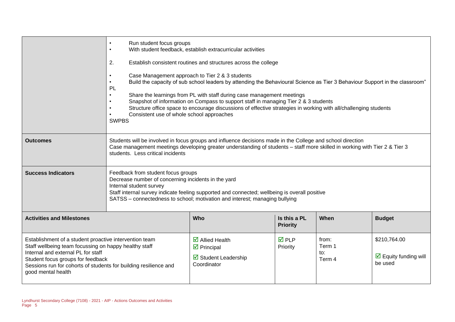|                                                                                                                                                                                                                                                                                      | Run student focus groups<br>With student feedback, establish extracurricular activities<br>2.<br>Establish consistent routines and structures across the college<br>Case Management approach to Tier 2 & 3 students<br>$\bullet$<br>Build the capacity of sub school leaders by attending the Behavioural Science as Tier 3 Behaviour Support in the classroom"<br><b>PL</b><br>Share the learnings from PL with staff during case management meetings<br>Snapshot of information on Compass to support staff in managing Tier 2 & 3 students<br>Structure office space to encourage discussions of effective strategies in working with all/challenging students<br>Consistent use of whole school approaches<br><b>SWPBS</b> |                                                                                                          |                                |                                  |                                                                 |
|--------------------------------------------------------------------------------------------------------------------------------------------------------------------------------------------------------------------------------------------------------------------------------------|--------------------------------------------------------------------------------------------------------------------------------------------------------------------------------------------------------------------------------------------------------------------------------------------------------------------------------------------------------------------------------------------------------------------------------------------------------------------------------------------------------------------------------------------------------------------------------------------------------------------------------------------------------------------------------------------------------------------------------|----------------------------------------------------------------------------------------------------------|--------------------------------|----------------------------------|-----------------------------------------------------------------|
| <b>Outcomes</b>                                                                                                                                                                                                                                                                      | Students will be involved in focus groups and influence decisions made in the College and school direction<br>Case management meetings developing greater understanding of students - staff more skilled in working with Tier 2 & Tier 3<br>students. Less critical incidents                                                                                                                                                                                                                                                                                                                                                                                                                                                  |                                                                                                          |                                |                                  |                                                                 |
| <b>Success Indicators</b>                                                                                                                                                                                                                                                            | Feedback from student focus groups<br>Decrease number of concerning incidents in the yard<br>Internal student survey<br>Staff internal survey indicate feeling supported and connected; wellbeing is overall positive<br>SATSS - connectedness to school; motivation and interest; managing bullying                                                                                                                                                                                                                                                                                                                                                                                                                           |                                                                                                          |                                |                                  |                                                                 |
| <b>Activities and Milestones</b>                                                                                                                                                                                                                                                     | Is this a PL<br><b>Who</b><br>When<br><b>Budget</b><br><b>Priority</b>                                                                                                                                                                                                                                                                                                                                                                                                                                                                                                                                                                                                                                                         |                                                                                                          |                                |                                  |                                                                 |
| Establishment of a student proactive intervention team<br>Staff wellbeing team focussing on happy healthy staff<br>Internal and external PL for staff<br>Student focus groups for feedback<br>Sessions run for cohorts of students for building resilience and<br>good mental health |                                                                                                                                                                                                                                                                                                                                                                                                                                                                                                                                                                                                                                                                                                                                | $\overline{\mathbf{Z}}$ Allied Health<br>$\triangleright$ Principal<br>Student Leadership<br>Coordinator | $\overline{M}$ PLP<br>Priority | from:<br>Term 1<br>to:<br>Term 4 | \$210,764.00<br>$\triangleright$ Equity funding will<br>be used |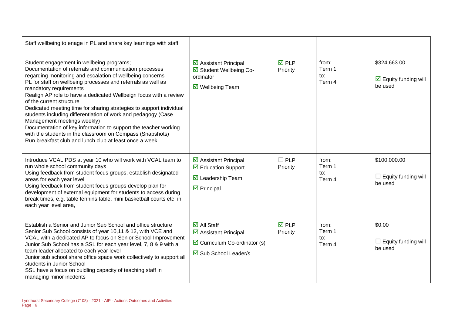| Staff wellbeing to enage in PL and share key learnings with staff                                                                                                                                                                                                                                                                                                                                                                                                                                                                                                                                                                                                                                                            |                                                                                                                                                              |                                |                                  |                                                                    |
|------------------------------------------------------------------------------------------------------------------------------------------------------------------------------------------------------------------------------------------------------------------------------------------------------------------------------------------------------------------------------------------------------------------------------------------------------------------------------------------------------------------------------------------------------------------------------------------------------------------------------------------------------------------------------------------------------------------------------|--------------------------------------------------------------------------------------------------------------------------------------------------------------|--------------------------------|----------------------------------|--------------------------------------------------------------------|
| Student engagement in wellbeing programs;<br>Documentation of referrals and communication processes<br>regarding monitoring and escalation of wellbeing concerns<br>PL for staff on wellbeing processes and referrals as well as<br>mandatory requirements<br>Realign AP role to have a dedicated Wellbeign focus with a review<br>of the current structure<br>Dedicated meeting time for sharing strategies to support individual<br>students including differentiation of work and pedagogy (Case<br>Management meetings weekly)<br>Documentation of key information to support the teacher working<br>with the students in the classroom on Compass (Snapshots)<br>Run breakfast club and lunch club at least once a week | $\triangleright$ Assistant Principal<br>Student Wellbeing Co-<br>ordinator<br>$\boxdot$ Wellbeing Team                                                       | $\overline{M}$ PLP<br>Priority | from:<br>Term 1<br>to:<br>Term 4 | \$324,663.00<br>$\boxed{\triangle}$ Equity funding will<br>be used |
| Introduce VCAL PDS at year 10 who will work with VCAL team to<br>run whole school community days<br>Using feedback from student focus groups, establish designated<br>areas for each year level<br>Using feedback from student focus groups develop plan for<br>development of external equipment for students to access during<br>break times, e.g. table tennins table, mini basketball courts etc in<br>each year level area,                                                                                                                                                                                                                                                                                             | $\triangleright$ Assistant Principal<br>$\overline{\mathbf{M}}$ Education Support<br>$\boxtimes$ Leadership Team<br>$\triangleright$ Principal               | $\Box$ PLP<br>Priority         | from:<br>Term 1<br>to:<br>Term 4 | \$100,000.00<br>$\Box$ Equity funding will<br>be used              |
| Establish a Senior and Junior Sub School and office structure<br>Senior Sub School consists of year 10,11 & 12, with VCE and<br>VCAL with a dedicated AP to focus on Senior School Improvement<br>Junior Sub School has a SSL for each year level, 7, 8 & 9 with a<br>team leader allocated to each year level<br>Junior sub school share office space work collectively to support all<br>students in Junior School<br>SSL have a focus on buidling capacity of teaching staff in<br>managing minor incdents                                                                                                                                                                                                                | $\overline{\mathbf{M}}$ All Staff<br>$\triangleright$ Assistant Principal<br>$\triangleright$ Curriculum Co-ordinator (s)<br>$\boxtimes$ Sub School Leader/s | $\overline{M}$ PLP<br>Priority | from:<br>Term 1<br>to:<br>Term 4 | \$0.00<br>$\Box$ Equity funding will<br>be used                    |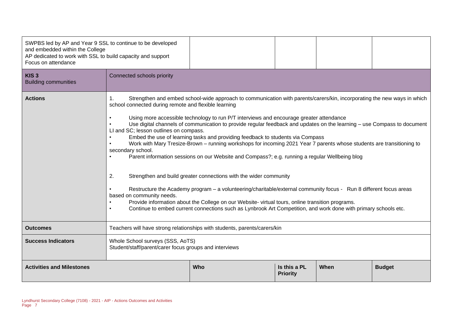| SWPBS led by AP and Year 9 SSL to continue to be developed<br>and embedded within the College<br>AP dedicated to work with SSL to build capacity and support<br>Focus on attendance |                                                                                                                                                                                                                                                                                                                                                                                                                                                                                                                                                                                                                                                                                                                                                                                                                                                                                                                                                                                                                                                                                                                                                                                                                                                                        |     |                                 |      |               |  |
|-------------------------------------------------------------------------------------------------------------------------------------------------------------------------------------|------------------------------------------------------------------------------------------------------------------------------------------------------------------------------------------------------------------------------------------------------------------------------------------------------------------------------------------------------------------------------------------------------------------------------------------------------------------------------------------------------------------------------------------------------------------------------------------------------------------------------------------------------------------------------------------------------------------------------------------------------------------------------------------------------------------------------------------------------------------------------------------------------------------------------------------------------------------------------------------------------------------------------------------------------------------------------------------------------------------------------------------------------------------------------------------------------------------------------------------------------------------------|-----|---------------------------------|------|---------------|--|
| KIS <sub>3</sub><br><b>Building communities</b>                                                                                                                                     | Connected schools priority                                                                                                                                                                                                                                                                                                                                                                                                                                                                                                                                                                                                                                                                                                                                                                                                                                                                                                                                                                                                                                                                                                                                                                                                                                             |     |                                 |      |               |  |
| <b>Actions</b>                                                                                                                                                                      | 1.<br>Strengthen and embed school-wide approach to communication with parents/carers/kin, incorporating the new ways in which<br>school connected during remote and flexible learning<br>Using more accessible technology to run P/T interviews and encourage greater attendance<br>Use digital channels of communication to provide regular feedback and updates on the learning – use Compass to document<br>LI and SC; lesson outlines on compass.<br>Embed the use of learning tasks and providing feedback to students via Compass<br>Work with Mary Tresize-Brown - running workshops for incoming 2021 Year 7 parents whose students are transitioning to<br>secondary school.<br>Parent information sessions on our Website and Compass?; e.g. running a regular Wellbeing blog<br>2.<br>Strengthen and build greater connections with the wider community<br>Restructure the Academy program - a volunteering/charitable/external community focus - Run 8 different focus areas<br>based on community needs.<br>Provide information about the College on our Website- virtual tours, online transition programs.<br>$\bullet$<br>Continue to embed current connections such as Lynbrook Art Competition, and work done with primary schools etc.<br>$\bullet$ |     |                                 |      |               |  |
| <b>Outcomes</b>                                                                                                                                                                     | Teachers will have strong relationships with students, parents/carers/kin                                                                                                                                                                                                                                                                                                                                                                                                                                                                                                                                                                                                                                                                                                                                                                                                                                                                                                                                                                                                                                                                                                                                                                                              |     |                                 |      |               |  |
| <b>Success Indicators</b>                                                                                                                                                           | Whole School surveys (SSS, AoTS)<br>Student/staff/parent/carer focus groups and interviews                                                                                                                                                                                                                                                                                                                                                                                                                                                                                                                                                                                                                                                                                                                                                                                                                                                                                                                                                                                                                                                                                                                                                                             |     |                                 |      |               |  |
| <b>Activities and Milestones</b>                                                                                                                                                    |                                                                                                                                                                                                                                                                                                                                                                                                                                                                                                                                                                                                                                                                                                                                                                                                                                                                                                                                                                                                                                                                                                                                                                                                                                                                        | Who | Is this a PL<br><b>Priority</b> | When | <b>Budget</b> |  |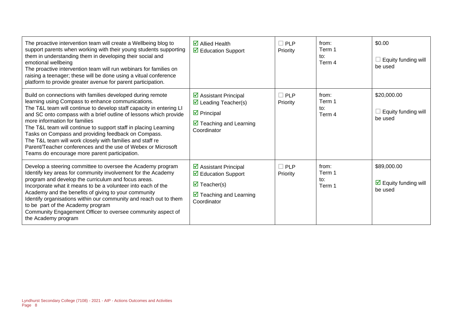| The proactive intervention team will create a Wellbeing blog to<br>support parents when working with their young students supporting<br>them in understanding them in developing their social and<br>emotional wellbeing<br>The proactive intervention team will run webinars for families on<br>raising a teenager; these will be done using a vitual conference<br>platform to provide greater avenue for parent participation.                                                                                                                                                                    | $\overline{\mathbf{z}}$ Allied Health<br>$\triangleright$ Education Support                                                                                        | $\Box$ PLP<br>Priority    | from:<br>Term 1<br>to:<br>Term 4 | \$0.00<br>Equity funding will<br>be used                       |
|------------------------------------------------------------------------------------------------------------------------------------------------------------------------------------------------------------------------------------------------------------------------------------------------------------------------------------------------------------------------------------------------------------------------------------------------------------------------------------------------------------------------------------------------------------------------------------------------------|--------------------------------------------------------------------------------------------------------------------------------------------------------------------|---------------------------|----------------------------------|----------------------------------------------------------------|
| Build on connections with families developed during remote<br>learning using Compass to enhance communications.<br>The T&L team will continue to develop staff capacity in entering LI<br>and SC onto compass with a brief outline of lessons which provide<br>more information for families<br>The T&L team will continue to support staff in placing Learning<br>Tasks on Compass and providing feedback on Compass.<br>The T&L team will work closely with families and staff re<br>Parent/Teacher conferences and the use of Webex or Microsoft<br>Teams do encourage more parent participation. | $\triangleright$ Assistant Principal<br>$\triangleright$ Leading Teacher(s)<br>$\triangleright$ Principal<br>$\triangleright$ Teaching and Learning<br>Coordinator | $\square$ PLP<br>Priority | from:<br>Term 1<br>to:<br>Term 4 | \$20,000.00<br>Equity funding will<br>be used                  |
| Develop a steering committee to oversee the Academy program<br>Identify key areas for community involvement for the Academy<br>program and develop the curriculum and focus areas.<br>Incorporate what it means to be a volunteer into each of the<br>Academy and the benefits of giving to your community<br>Identify organisations within our community and reach out to them<br>to be part of the Academy program<br>Community Engagement Officer to oversee community aspect of<br>the Academy program                                                                                           | $\triangleright$ Assistant Principal<br>$\triangleright$ Education Support<br>$\triangledown$ Teacher(s)<br>$\triangleright$ Teaching and Learning<br>Coordinator  | $\square$ PLP<br>Priority | from:<br>Term 1<br>to:<br>Term 1 | \$89,000.00<br>$\triangleright$ Equity funding will<br>be used |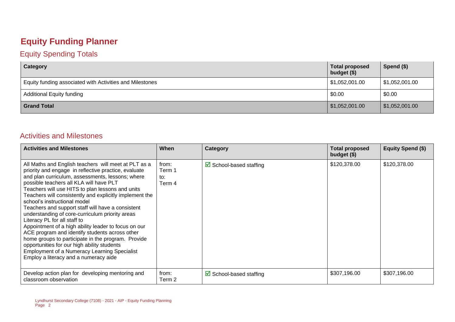### **Equity Funding Planner**

#### Equity Spending Totals

| Category                                                 | <b>Total proposed</b><br>budget (\$) | Spend $($)$    |
|----------------------------------------------------------|--------------------------------------|----------------|
| Equity funding associated with Activities and Milestones | \$1,052,001.00                       | \$1,052,001.00 |
| <b>Additional Equity funding</b>                         | \$0.00                               | \$0.00         |
| <b>Grand Total</b>                                       | $\frac{1}{2}$ \$1,052,001.00         | \$1,052,001.00 |

#### Activities and Milestones

| <b>Activities and Milestones</b>                                                                                                                                                                                                                                                                                                                                                                                                                                                                                                                                                                                                                                                                                                                                                                                  | <b>When</b>                      | Category                          | <b>Total proposed</b><br>budget $(\$)$ | Equity Spend (\$) |
|-------------------------------------------------------------------------------------------------------------------------------------------------------------------------------------------------------------------------------------------------------------------------------------------------------------------------------------------------------------------------------------------------------------------------------------------------------------------------------------------------------------------------------------------------------------------------------------------------------------------------------------------------------------------------------------------------------------------------------------------------------------------------------------------------------------------|----------------------------------|-----------------------------------|----------------------------------------|-------------------|
| All Maths and English teachers will meet at PLT as a<br>priority and engage in reflective practice, evaluate<br>and plan curriculum, assessments, lessons; where<br>possible teachers all KLA will have PLT<br>Teachers will use HITS to plan lessons and units<br>Teachers will consistently and explicitly implement the<br>school's instructional model<br>Teachers and support staff will have a consistent<br>understanding of core-curriculum priority areas<br>Literacy PL for all staff to<br>Appointment of a high ability leader to focus on our<br>ACE program and identify students across other<br>home groups to participate in the program. Provide<br>opportunities for our high ability students<br><b>Employment of a Numeracy Learning Specialist</b><br>Employ a literacy and a numeracy aide | from:<br>Term 1<br>to:<br>Term 4 | $\boxtimes$ School-based staffing | \$120,378.00                           | \$120,378.00      |
| Develop action plan for developing mentoring and<br>classroom observation                                                                                                                                                                                                                                                                                                                                                                                                                                                                                                                                                                                                                                                                                                                                         | from:<br>Term 2                  | $\boxtimes$ School-based staffing | \$307,196.00                           | \$307,196.00      |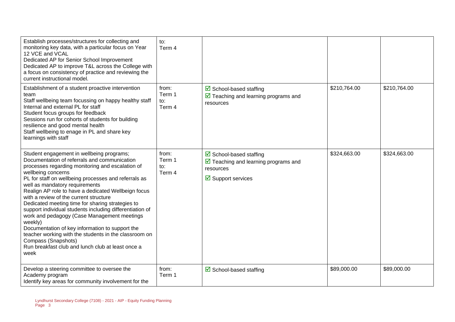| Establish processes/structures for collecting and<br>monitoring key data, with a particular focus on Year<br>12 VCE and VCAL<br>Dedicated AP for Senior School Improvement<br>Dedicated AP to improve T&L across the College with<br>a focus on consistency of practice and reviewing the<br>current instructional model.                                                                                                                                                                                                                                                                                                                                                                                                                | to:<br>Term 4                    |                                                                                                                                         |              |              |
|------------------------------------------------------------------------------------------------------------------------------------------------------------------------------------------------------------------------------------------------------------------------------------------------------------------------------------------------------------------------------------------------------------------------------------------------------------------------------------------------------------------------------------------------------------------------------------------------------------------------------------------------------------------------------------------------------------------------------------------|----------------------------------|-----------------------------------------------------------------------------------------------------------------------------------------|--------------|--------------|
| Establishment of a student proactive intervention<br>team<br>Staff wellbeing team focussing on happy healthy staff<br>Internal and external PL for staff<br>Student focus groups for feedback<br>Sessions run for cohorts of students for building<br>resilience and good mental health<br>Staff wellbeing to enage in PL and share key<br>learnings with staff                                                                                                                                                                                                                                                                                                                                                                          | from:<br>Term 1<br>to:<br>Term 4 | ☑ School-based staffing<br>$\boxed{\blacksquare}$ Teaching and learning programs and<br>resources                                       | \$210,764.00 | \$210,764.00 |
| Student engagement in wellbeing programs;<br>Documentation of referrals and communication<br>processes regarding monitoring and escalation of<br>wellbeing concerns<br>PL for staff on wellbeing processes and referrals as<br>well as mandatory requirements<br>Realign AP role to have a dedicated Wellbeign focus<br>with a review of the current structure<br>Dedicated meeting time for sharing strategies to<br>support individual students including differentiation of<br>work and pedagogy (Case Management meetings<br>weekly)<br>Documentation of key information to support the<br>teacher working with the students in the classroom on<br>Compass (Snapshots)<br>Run breakfast club and lunch club at least once a<br>week | from:<br>Term 1<br>to:<br>Term 4 | $\triangleright$ School-based staffing<br>$\triangledown$ Teaching and learning programs and<br>resources<br>$\boxdot$ Support services | \$324,663.00 | \$324,663.00 |
| Develop a steering committee to oversee the<br>Academy program<br>Identify key areas for community involvement for the                                                                                                                                                                                                                                                                                                                                                                                                                                                                                                                                                                                                                   | from:<br>Term 1                  | $\triangleright$ School-based staffing                                                                                                  | \$89,000.00  | \$89,000.00  |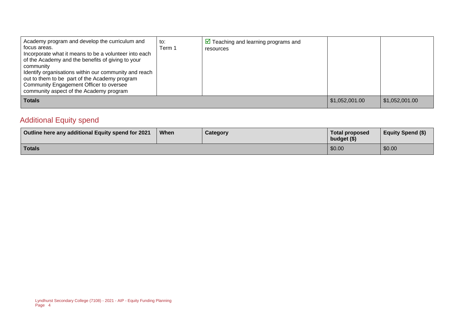| Academy program and develop the curriculum and<br>focus areas.<br>Incorporate what it means to be a volunteer into each<br>of the Academy and the benefits of giving to your<br>community<br>Identify organisations within our community and reach<br>out to them to be part of the Academy program<br>Community Engagement Officer to oversee<br>community aspect of the Academy program | to:<br>Term 1 | $\triangleright$ Teaching and learning programs and<br>resources |                |                |
|-------------------------------------------------------------------------------------------------------------------------------------------------------------------------------------------------------------------------------------------------------------------------------------------------------------------------------------------------------------------------------------------|---------------|------------------------------------------------------------------|----------------|----------------|
| <b>Totals</b>                                                                                                                                                                                                                                                                                                                                                                             |               |                                                                  | \$1,052,001.00 | \$1,052,001.00 |

#### Additional Equity spend

| Outline here any additional Equity spend for 2021 | When | Category | Total proposed<br>budget (\$) | <b>Equity Spend (\$)</b> |
|---------------------------------------------------|------|----------|-------------------------------|--------------------------|
| <b>Totals</b>                                     |      |          | \$0.00                        | \$0.00                   |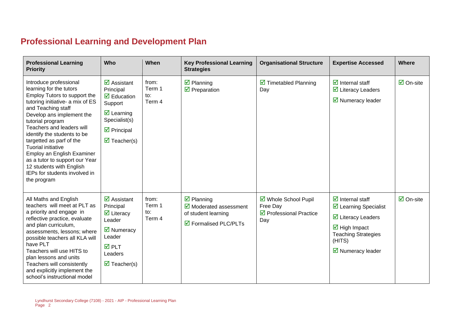## **Professional Learning and Development Plan**

| <b>Professional Learning</b><br><b>Priority</b>                                                                                                                                                                                                                                                                                                                                                                                                               | <b>Who</b>                                                                                                                                                                                        | When                             | <b>Key Professional Learning</b><br><b>Strategies</b>                                                              | <b>Organisational Structure</b>                                              | <b>Expertise Accessed</b>                                                                                                                                                                                                      | Where                           |
|---------------------------------------------------------------------------------------------------------------------------------------------------------------------------------------------------------------------------------------------------------------------------------------------------------------------------------------------------------------------------------------------------------------------------------------------------------------|---------------------------------------------------------------------------------------------------------------------------------------------------------------------------------------------------|----------------------------------|--------------------------------------------------------------------------------------------------------------------|------------------------------------------------------------------------------|--------------------------------------------------------------------------------------------------------------------------------------------------------------------------------------------------------------------------------|---------------------------------|
| Introduce professional<br>learning for the tutors<br>Employ Tutors to support the<br>tutoring initiative- a mix of ES<br>and Teaching staff<br>Develop ans implement the<br>tutorial program<br>Teachers and leaders will<br>identify the students to be<br>targetted as parf of the<br><b>Tuorial initiative</b><br>Employ an English Examiner<br>as a tutor to support our Year<br>12 students with English<br>IEPs for students involved in<br>the program | $\triangledown$ Assistant<br>Principal<br>$\boxtimes$ Education<br>Support<br>$\boxtimes$ Learning<br>Specialist(s)<br>$\triangleright$ Principal<br>$\triangledown$ Teacher(s)                   | from:<br>Term 1<br>to:<br>Term 4 | $\boxtimes$ Planning<br>$\overline{\mathbf{y}}$ Preparation                                                        | $\triangleright$ Timetabled Planning<br>Day                                  | $\overline{\mathbf{d}}$ Internal staff<br>$\overline{\mathbf{y}}$ Literacy Leaders<br>$\triangledown$ Numeracy leader                                                                                                          | $\overline{\mathsf{M}}$ On-site |
| All Maths and English<br>teachers will meet at PLT as<br>a priority and engage in<br>reflective practice, evaluate<br>and plan curriculum,<br>assessments, lessons; where<br>possible teachers all KLA will<br>have PLT<br>Teachers will use HITS to<br>plan lessons and units<br>Teachers will consistently<br>and explicitly implement the<br>school's instructional model                                                                                  | $\overline{\mathbf{M}}$ Assistant<br>Principal<br>$\triangledown$ Literacy<br>Leader<br>$\overline{\mathsf{M}}$ Numeracy<br>Leader<br>$\overline{M}$ PLT<br>Leaders<br>$\triangledown$ Teacher(s) | from:<br>Term 1<br>to:<br>Term 4 | $\boxtimes$ Planning<br>$\boxtimes$ Moderated assessment<br>of student learning<br>$\boxtimes$ Formalised PLC/PLTs | ☑ Whole School Pupil<br>Free Day<br>$\boxtimes$ Professional Practice<br>Day | $\overline{\mathbf{z}}$ Internal staff<br>☑ Learning Specialist<br>$\overline{\mathbf{y}}$ Literacy Leaders<br>$\overline{\mathbf{M}}$ High Impact<br><b>Teaching Strategies</b><br>(HITS)<br>$\triangleright$ Numeracy leader | $\overline{\Box}$ On-site       |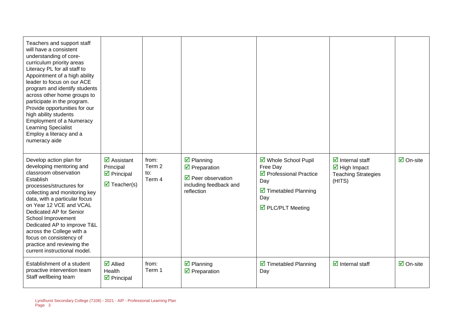| Teachers and support staff<br>will have a consistent<br>understanding of core-<br>curriculum priority areas<br>Literacy PL for all staff to<br>Appointment of a high ability<br>leader to focus on our ACE<br>program and identify students<br>across other home groups to<br>participate in the program.<br>Provide opportunities for our<br>high ability students<br><b>Employment of a Numeracy</b><br><b>Learning Specialist</b><br>Employ a literacy and a<br>numeracy aide |                                                                                                                    |                                  |                                                                                                                                         |                                                                                                                                       |                                                                                                                       |                                 |
|----------------------------------------------------------------------------------------------------------------------------------------------------------------------------------------------------------------------------------------------------------------------------------------------------------------------------------------------------------------------------------------------------------------------------------------------------------------------------------|--------------------------------------------------------------------------------------------------------------------|----------------------------------|-----------------------------------------------------------------------------------------------------------------------------------------|---------------------------------------------------------------------------------------------------------------------------------------|-----------------------------------------------------------------------------------------------------------------------|---------------------------------|
| Develop action plan for<br>developing mentoring and<br>classroom observation<br>Establish<br>processes/structures for<br>collecting and monitoring key<br>data, with a particular focus<br>on Year 12 VCE and VCAL<br>Dedicated AP for Senior<br>School Improvement<br>Dedicated AP to improve T&L<br>across the College with a<br>focus on consistency of<br>practice and reviewing the<br>current instructional model.                                                         | $\overline{\mathbf{M}}$ Assistant<br>Principal<br>$\triangleright$ Principal<br>$\overline{\mathbf{M}}$ Teacher(s) | from:<br>Term 2<br>to:<br>Term 4 | $\boxtimes$ Planning<br>$\overline{\mathbf{y}}$ Preparation<br>$\triangledown$ Peer observation<br>including feedback and<br>reflection | ☑ Whole School Pupil<br>Free Day<br>$\triangledown$ Professional Practice<br>Day<br>☑ Timetabled Planning<br>Day<br>☑ PLC/PLT Meeting | $\overline{\mathbf{M}}$ Internal staff<br>$\overline{\mathbf{y}}$ High Impact<br><b>Teaching Strategies</b><br>(HITS) | $\overline{\mathsf{M}}$ On-site |
| Establishment of a student<br>proactive intervention team<br>Staff wellbeing team                                                                                                                                                                                                                                                                                                                                                                                                | $\overline{\mathbf{z}}$ Allied<br>Health<br>$\triangledown$ Principal                                              | from:<br>Term 1                  | $\boxtimes$ Planning<br>$\overline{\mathbf{y}}$ Preparation                                                                             | $\overline{\mathbf{M}}$ Timetabled Planning<br>Day                                                                                    | $\overline{\mathbf{z}}$ Internal staff                                                                                | $\overline{\mathsf{M}}$ On-site |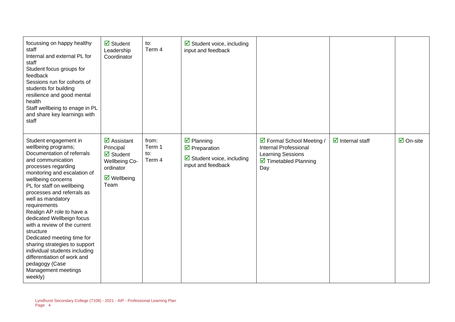| focussing on happy healthy<br>staff<br>Internal and external PL for<br>staff<br>Student focus groups for<br>feedback<br>Sessions run for cohorts of<br>students for building<br>resilience and good mental<br>health<br>Staff wellbeing to enage in PL<br>and share key learnings with<br>staff                                                                                                                                                                                                                                                                        | $\overline{\mathbf{z}}$ Student<br>Leadership<br>Coordinator                                                                                                | to:<br>Term 4                    | $\boxtimes$ Student voice, including<br>input and feedback                                                        |                                                                                                                                      |                                        |                                 |
|------------------------------------------------------------------------------------------------------------------------------------------------------------------------------------------------------------------------------------------------------------------------------------------------------------------------------------------------------------------------------------------------------------------------------------------------------------------------------------------------------------------------------------------------------------------------|-------------------------------------------------------------------------------------------------------------------------------------------------------------|----------------------------------|-------------------------------------------------------------------------------------------------------------------|--------------------------------------------------------------------------------------------------------------------------------------|----------------------------------------|---------------------------------|
| Student engagement in<br>wellbeing programs;<br>Documentation of referrals<br>and communication<br>processes regarding<br>monitoring and escalation of<br>wellbeing concerns<br>PL for staff on wellbeing<br>processes and referrals as<br>well as mandatory<br>requirements<br>Realign AP role to have a<br>dedicated Wellbeign focus<br>with a review of the current<br>structure<br>Dedicated meeting time for<br>sharing strategies to support<br>individual students including<br>differentiation of work and<br>pedagogy (Case<br>Management meetings<br>weekly) | $\overline{\mathbf{z}}$ Assistant<br>Principal<br>$\overline{\mathbf{z}}$ Student<br><b>Wellbeing Co-</b><br>ordinator<br>$\triangledown$ Wellbeing<br>Team | from:<br>Term 1<br>to:<br>Term 4 | $\boxtimes$ Planning<br>$\triangledown$ Preparation<br>$\boxtimes$ Student voice, including<br>input and feedback | ☑ Formal School Meeting /<br><b>Internal Professional</b><br><b>Learning Sessions</b><br>$\triangleright$ Timetabled Planning<br>Day | $\overline{\mathbf{y}}$ Internal staff | $\overline{\mathsf{M}}$ On-site |